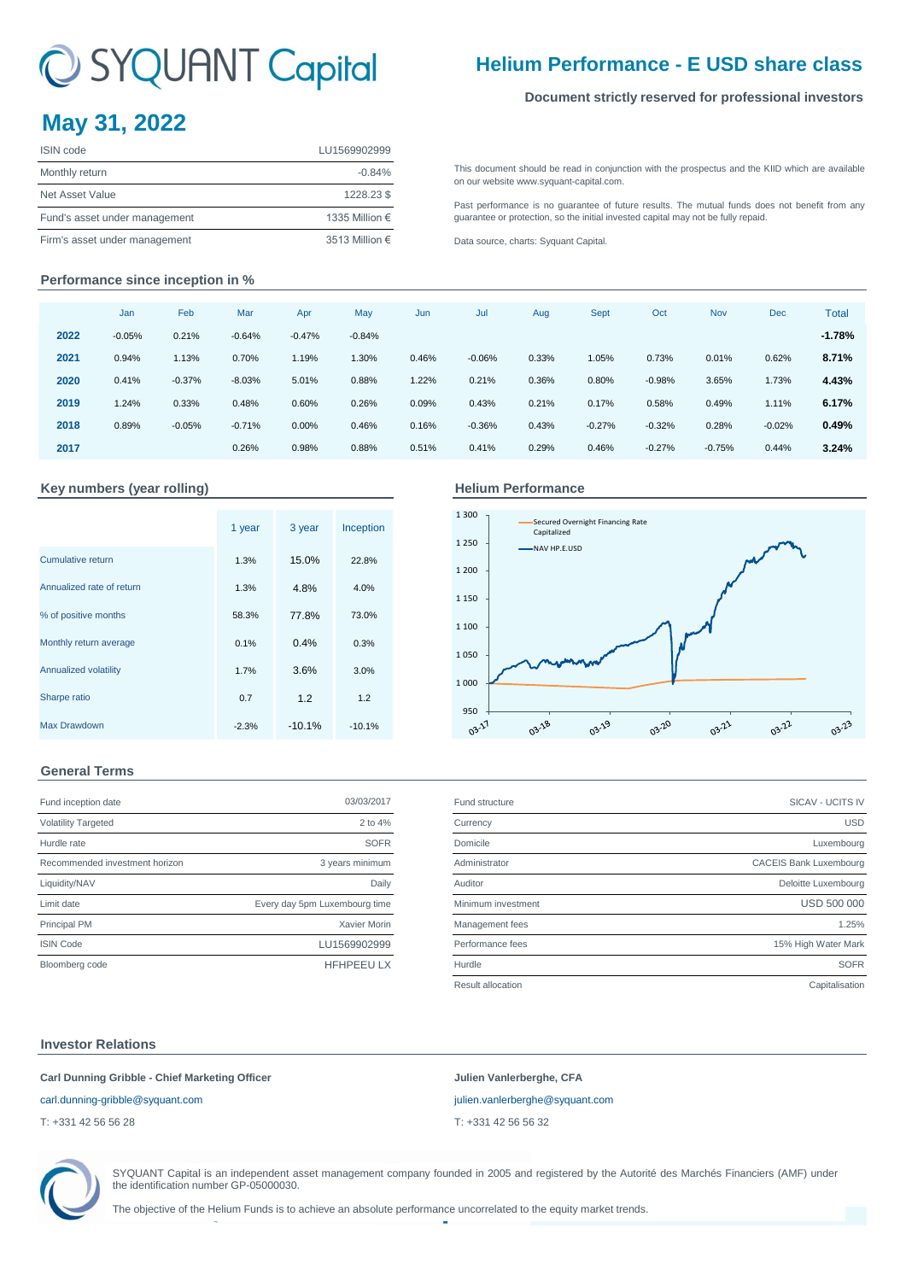# C SYQUANT Capital

### **Helium Performance - E USD share class**

### **Document strictly reserved for professional investors**

## **May 31, 2022**

| <b>ISIN</b> code              | LU1569902999   |
|-------------------------------|----------------|
| Monthly return                | $-0.84%$       |
| Net Asset Value               | 1228.23\$      |
| Fund's asset under management | 1335 Million € |
| Firm's asset under management | 3513 Million € |

[This](http://www.syquant-capital.fr/publications-syquant-capital.php) [document](http://www.syquant-capital.fr/publications-syquant-capital.php) [should](http://www.syquant-capital.fr/publications-syquant-capital.php) be read in [conjunction](http://www.syquant-capital.fr/publications-syquant-capital.php) with the prospectus and the KIID which are available [on our website](http://www.syquant-capital.fr/publications-syquant-capital.php) www.syquant-capital.com.

[Past](http://www.syquant-capital.fr/publications-syquant-capital.php) [performance](http://www.syquant-capital.fr/publications-syquant-capital.php) is no [guarantee](http://www.syquant-capital.fr/publications-syquant-capital.php) of future results. The mutual funds does not benefit from any [guarantee or p](http://www.syquant-capital.fr/publications-syquant-capital.php)rotection, so the initial invested capital may not be fully repaid.

[Data source, c](http://www.syquant-capital.fr/publications-syquant-capital.php)harts: Syquant Capital.

### **Performance since inception in %**

|      | Jan      | Feb      | Mar      | Apr      | May      | Jun   | Jul      | Aug   | <b>Sept</b> | Oct      | <b>Nov</b> | <b>Dec</b> | <b>Total</b> |
|------|----------|----------|----------|----------|----------|-------|----------|-------|-------------|----------|------------|------------|--------------|
| 2022 | $-0.05%$ | 0.21%    | $-0.64%$ | $-0.47%$ | $-0.84%$ |       |          |       |             |          |            |            | $-1.78%$     |
| 2021 | 0.94%    | 1.13%    | 0.70%    | 1.19%    | 1.30%    | 0.46% | $-0.06%$ | 0.33% | 1.05%       | 0.73%    | 0.01%      | 0.62%      | 8.71%        |
| 2020 | 0.41%    | $-0.37%$ | $-8.03%$ | 5.01%    | 0.88%    | 1.22% | 0.21%    | 0.36% | 0.80%       | $-0.98%$ | 3.65%      | 1.73%      | 4.43%        |
| 2019 | 1.24%    | 0.33%    | 0.48%    | 0.60%    | 0.26%    | 0.09% | 0.43%    | 0.21% | 0.17%       | 0.58%    | 0.49%      | 1.11%      | 6.17%        |
| 2018 | 0.89%    | $-0.05%$ | $-0.71%$ | 0.00%    | 0.46%    | 0.16% | $-0.36%$ | 0.43% | $-0.27%$    | $-0.32%$ | 0.28%      | $-0.02%$   | 0.49%        |
| 2017 |          |          | 0.26%    | 0.98%    | 0.88%    | 0.51% | 0.41%    | 0.29% | 0.46%       | $-0.27%$ | $-0.75%$   | 0.44%      | 3.24%        |

### Key numbers (year rolling) **Accord Accord Performance Helium Performance**

|                           | 1 year  | 3 year   | Inception |
|---------------------------|---------|----------|-----------|
| Cumulative return         | 1.3%    | 15.0%    | 22.8%     |
| Annualized rate of return | 1.3%    | 4.8%     | 4.0%      |
| % of positive months      | 58.3%   | 77.8%    | 73.0%     |
| Monthly return average    | 0.1%    | 0.4%     | 0.3%      |
| Annualized volatility     | 1.7%    | 3.6%     | 3.0%      |
| Sharpe ratio              | 0.7     | 1.2      | 1.2       |
| <b>Max Drawdown</b>       | $-2.3%$ | $-10.1%$ | $-10.1%$  |



### **General Terms**

| Fund inception date            | 03/03/2017                    |
|--------------------------------|-------------------------------|
| <b>Volatility Targeted</b>     | $2$ to $4%$                   |
| Hurdle rate                    | <b>SOFR</b>                   |
| Recommended investment horizon | 3 years minimum               |
| Liquidity/NAV                  | Daily                         |
| Limit date                     | Every day 5pm Luxembourg time |
| <b>Principal PM</b>            | Xavier Morin                  |
| <b>ISIN Code</b>               | LU1569902999                  |
| Bloomberg code                 | <b>HFHPEEU LX</b>             |

| Fund inception date            | 03/03/2017                    | Fund structure     | <b>SICAV - UCITS IV</b>       |
|--------------------------------|-------------------------------|--------------------|-------------------------------|
| <b>Volatility Targeted</b>     | 2 to 4%                       | Currency           | <b>USD</b>                    |
| Hurdle rate                    | <b>SOFR</b>                   | Domicile           | Luxembourg                    |
| Recommended investment horizon | 3 years minimum               | Administrator      | <b>CACEIS Bank Luxembourg</b> |
| Liquidity/NAV                  | Daily                         | Auditor            | Deloitte Luxembourg           |
| Limit date                     | Every day 5pm Luxembourg time | Minimum investment | <b>USD 500 000</b>            |
| <b>Principal PM</b>            | Xavier Morin                  | Management fees    | 1.25%                         |
| <b>ISIN Code</b>               | LU1569902999                  | Performance fees   | 15% High Water Mark           |
| Bloomberg code                 | <b>HFHPEEU LX</b>             | Hurdle             | <b>SOFR</b>                   |
|                                |                               | Result allocation  | Capitalisation                |

### **Investor Relations**

### **Carl Dunning Gribble - Chief Marketing Officer Julien Vanlerberghe, CFA**

### [carl.dunning-gribble@syquant.com](mailto:carl.dunning-gribble@syquant.com) [julien.vanlerberghe@syquant.com](mailto:julien.vanlerberghe@syquant.com)

T: +331 42 56 56 28 T: +331 42 56 56 32



SYQUANT Capital is an independent asset management company founded in 2005 and registered by the Autorité des Marchés Financiers (AMF) under the identification number GP-05000030.

The objective of the Helium Funds is to achieve an absolute performance uncorrelated to the equity market trends.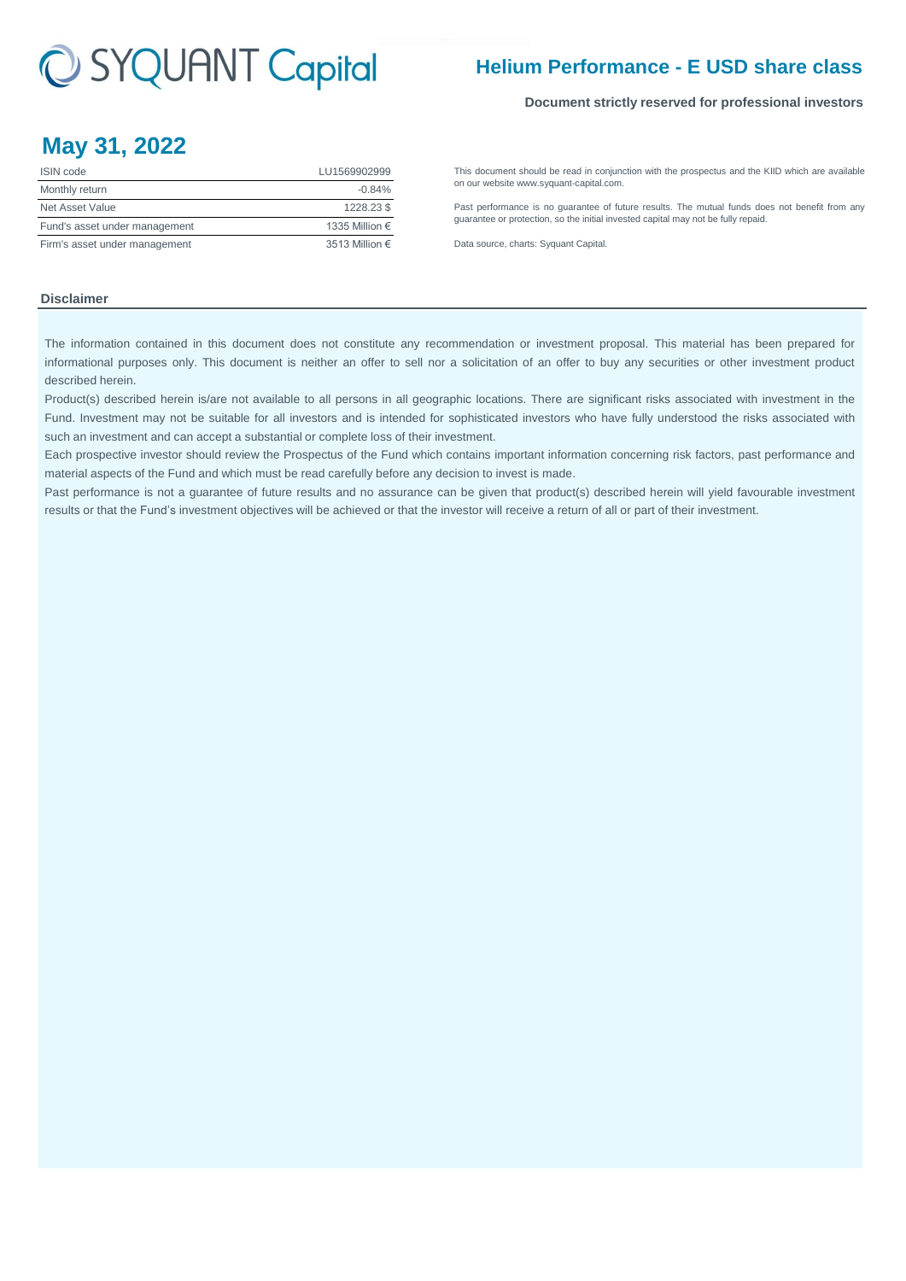## C SYQUANT Capital

### **Helium Performance - E USD share class**

### **Document strictly reserved for professional investors**

### **May 31, 2022**

| <b>ISIN</b> code              | LU1569902999   |
|-------------------------------|----------------|
| Monthly return                | $-0.84%$       |
| Net Asset Value               | 1228.23\$      |
| Fund's asset under management | 1335 Million € |
| Firm's asset under management | 3513 Million € |

[This](http://www.syquant-capital.fr/publications-syquant-capital.php) [document](http://www.syquant-capital.fr/publications-syquant-capital.php) [should](http://www.syquant-capital.fr/publications-syquant-capital.php) be read in [conjunction](http://www.syquant-capital.fr/publications-syquant-capital.php) with the prospectus and the KIID which are available [on our website](http://www.syquant-capital.fr/publications-syquant-capital.php) www.syquant-capital.com.

[Past](http://www.syquant-capital.fr/publications-syquant-capital.php) [performance](http://www.syquant-capital.fr/publications-syquant-capital.php) is no [guarantee](http://www.syquant-capital.fr/publications-syquant-capital.php) of future results. The mutual funds does not benefit from any [guarantee or p](http://www.syquant-capital.fr/publications-syquant-capital.php)rotection, so the initial invested capital may not be fully repaid.

[Data source, c](http://www.syquant-capital.fr/publications-syquant-capital.php)harts: Syquant Capital.

### **Disclaimer**

The information contained in this document does not constitute any recommendation or investment proposal. This material has been prepared for informational purposes only. This document is neither an offer to sell nor a solicitation of an offer to buy any securities or other investment product described herein.

Product(s) described herein is/are not available to all persons in all geographic locations. There are significant risks associated with investment in the Fund. Investment may not be suitable for all investors and is intended for sophisticated investors who have fully understood the risks associated with such an investment and can accept a substantial or complete loss of their investment.

Each prospective investor should review the Prospectus of the Fund which contains important information concerning risk factors, past performance and material aspects of the Fund and which must be read carefully before any decision to invest is made.

Past performance is not a guarantee of future results and no assurance can be given that product(s) described herein will yield favourable investment results or that the Fund's investment objectives will be achieved or that the investor will receive a return of all or part of their investment.